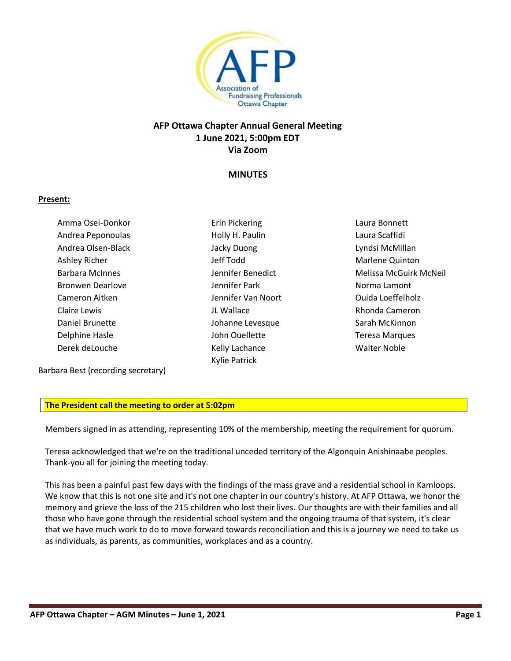

# **AFP Ottawa Chapter Annual General Meeting 1 June 2021, 5:00pm EDT Via Zoom**

## **MINUTES**

### **Present:**

Amma Osei-Donkor Andrea Peponoulas Andrea Olsen-Black Ashley Richer Barbara McInnes Bronwen Dearlove Cameron Aitken Claire Lewis Daniel Brunette Delphine Hasle Derek deLouche

Erin Pickering Holly H. Paulin Jacky Duong Jeff Todd Jennifer Benedict Jennifer Park Jennifer Van Noort JL Wallace Johanne Levesque John Ouellette Kelly Lachance Kylie Patrick

Laura Bonnett Laura Scaffidi Lyndsi McMillan Marlene Quinton Melissa McGuirk McNeil Norma Lamont Ouida Loeffelholz Rhonda Cameron Sarah McKinnon Teresa Marques Walter Noble

Barbara Best (recording secretary)

### **The President call the meeting to order at 5:02pm**

Members signed in as attending, representing 10% of the membership, meeting the requirement for quorum.

Teresa acknowledged that we're on the traditional unceded territory of the Algonquin Anishinaabe peoples. Thank-you all for joining the meeting today.

This has been a painful past few days with the findings of the mass grave and a residential school in Kamloops. We know that this is not one site and it's not one chapter in our country's history. At AFP Ottawa, we honor the memory and grieve the loss of the 215 children who lost their lives. Our thoughts are with their families and all those who have gone through the residential school system and the ongoing trauma of that system, it's clear that we have much work to do to move forward towards reconciliation and this is a journey we need to take us as individuals, as parents, as communities, workplaces and as a country.